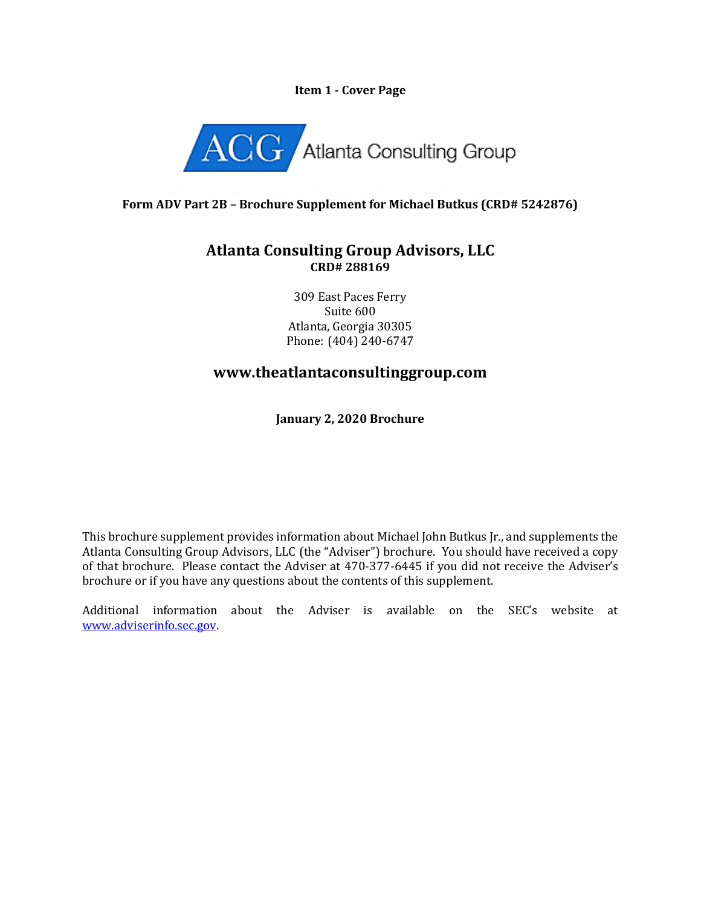### **Item 1 - Cover Page**



## **Form ADV Part 2B – Brochure Supplement for Michael Butkus (CRD# 5242876)**

## **Atlanta Consulting Group Advisors, LLC CRD# 288169**

309 East Paces Ferry Suite 600 Atlanta, Georgia 30305 Phone: (404) 240-6747

# **www.theatlantaconsultinggroup.com**

**January 2, 2020 Brochure**

This brochure supplement provides information about Michael John Butkus Jr., and supplements the Atlanta Consulting Group Advisors, LLC (the "Adviser") brochure. You should have received a copy of that brochure. Please contact the Adviser at 470-377-6445 if you did not receive the Adviser's brochure or if you have any questions about the contents of this supplement.

Additional information about the Adviser is available on the SEC's website at [www.adviserinfo.sec.gov.](http://www.adviserinfo.sec.gov/)